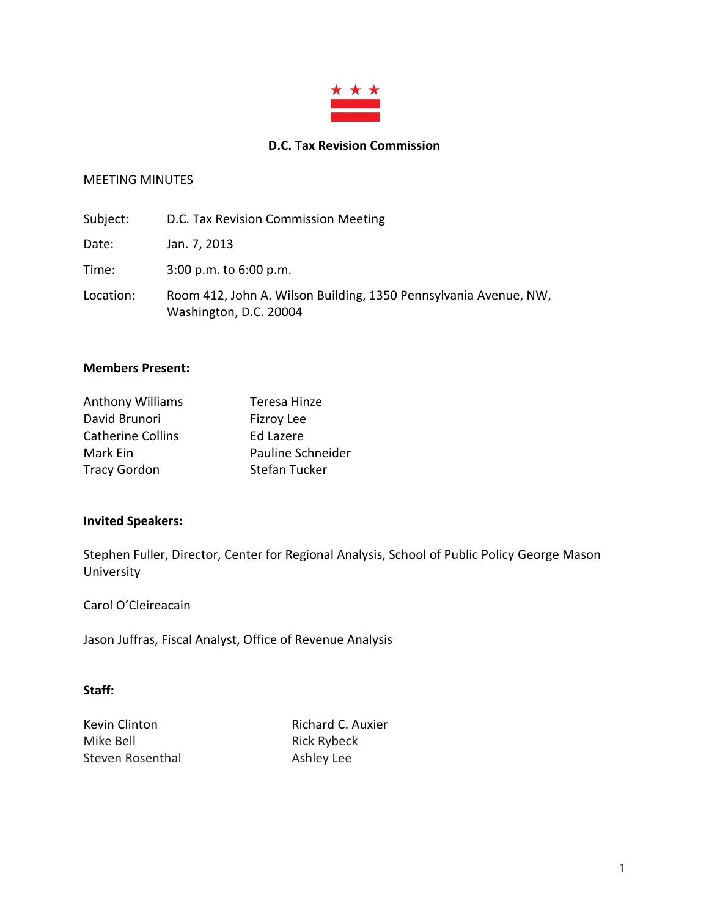

#### **D.C. Tax Revision Commission**

## MEETING MINUTES

| Subject:  | D.C. Tax Revision Commission Meeting                                                       |
|-----------|--------------------------------------------------------------------------------------------|
| Date:     | Jan. 7, 2013                                                                               |
| Time:     | $3:00$ p.m. to $6:00$ p.m.                                                                 |
| Location: | Room 412, John A. Wilson Building, 1350 Pennsylvania Avenue, NW,<br>Washington, D.C. 20004 |

#### **Members Present:**

| <b>Anthony Williams</b>  | Teresa Hinze         |
|--------------------------|----------------------|
| David Brunori            | Fizroy Lee           |
| <b>Catherine Collins</b> | Ed Lazere            |
| Mark Ein                 | Pauline Schneider    |
| <b>Tracy Gordon</b>      | <b>Stefan Tucker</b> |

## **Invited Speakers:**

Stephen Fuller, Director, Center for Regional Analysis, School of Public Policy George Mason University

Carol O'Cleireacain

Jason Juffras, Fiscal Analyst, Office of Revenue Analysis

### **Staff:**

Mike Bell **Rick Rybeck** Steven Rosenthal Ashley Lee

Kevin Clinton **Richard C. Auxier**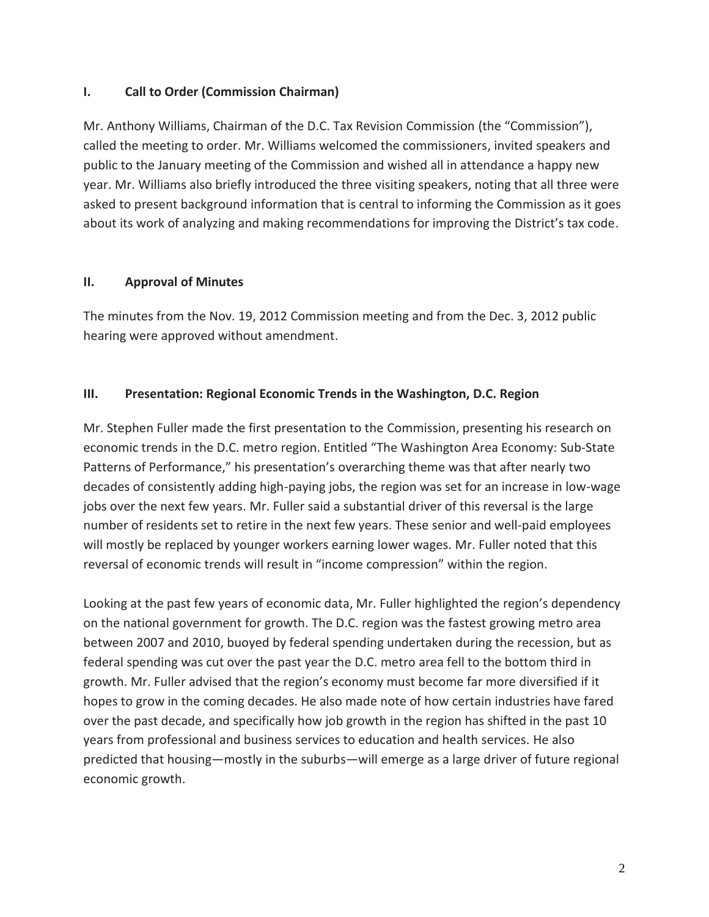## **I. Call to Order (Commission Chairman)**

Mr. Anthony Williams, Chairman of the D.C. Tax Revision Commission (the "Commission"), called the meeting to order. Mr. Williams welcomed the commissioners, invited speakers and public to the January meeting of the Commission and wished all in attendance a happy new year. Mr. Williams also briefly introduced the three visiting speakers, noting that all three were asked to present background information that is central to informing the Commission as it goes about its work of analyzing and making recommendations for improving the District's tax code.

# **II. Approval of Minutes**

The minutes from the Nov. 19, 2012 Commission meeting and from the Dec. 3, 2012 public hearing were approved without amendment.

# **III. Presentation: Regional Economic Trends in the Washington, D.C. Region**

Mr. Stephen Fuller made the first presentation to the Commission, presenting his research on economic trends in the D.C. metro region. Entitled "The Washington Area Economy: Sub-State Patterns of Performance," his presentation's overarching theme was that after nearly two decades of consistently adding high-paying jobs, the region was set for an increase in low-wage jobs over the next few years. Mr. Fuller said a substantial driver of this reversal is the large number of residents set to retire in the next few years. These senior and well-paid employees will mostly be replaced by younger workers earning lower wages. Mr. Fuller noted that this reversal of economic trends will result in "income compression" within the region.

Looking at the past few years of economic data, Mr. Fuller highlighted the region's dependency on the national government for growth. The D.C. region was the fastest growing metro area between 2007 and 2010, buoyed by federal spending undertaken during the recession, but as federal spending was cut over the past year the D.C. metro area fell to the bottom third in growth. Mr. Fuller advised that the region's economy must become far more diversified if it hopes to grow in the coming decades. He also made note of how certain industries have fared over the past decade, and specifically how job growth in the region has shifted in the past 10 years from professional and business services to education and health services. He also predicted that housing—mostly in the suburbs—will emerge as a large driver of future regional economic growth.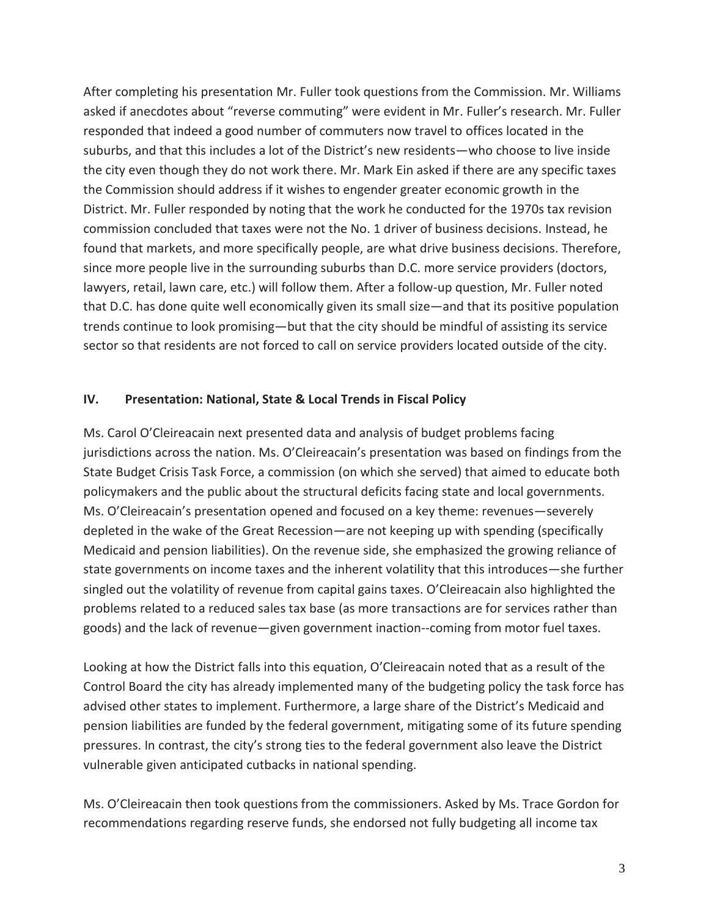After completing his presentation Mr. Fuller took questions from the Commission. Mr. Williams asked if anecdotes about "reverse commuting" were evident in Mr. Fuller's research. Mr. Fuller responded that indeed a good number of commuters now travel to offices located in the suburbs, and that this includes a lot of the District's new residents—who choose to live inside the city even though they do not work there. Mr. Mark Ein asked if there are any specific taxes the Commission should address if it wishes to engender greater economic growth in the District. Mr. Fuller responded by noting that the work he conducted for the 1970s tax revision commission concluded that taxes were not the No. 1 driver of business decisions. Instead, he found that markets, and more specifically people, are what drive business decisions. Therefore, since more people live in the surrounding suburbs than D.C. more service providers (doctors, lawyers, retail, lawn care, etc.) will follow them. After a follow-up question, Mr. Fuller noted that D.C. has done quite well economically given its small size—and that its positive population trends continue to look promising—but that the city should be mindful of assisting its service sector so that residents are not forced to call on service providers located outside of the city.

### **IV. Presentation: National, State & Local Trends in Fiscal Policy**

Ms. Carol O'Cleireacain next presented data and analysis of budget problems facing jurisdictions across the nation. Ms. O'Cleireacain's presentation was based on findings from the State Budget Crisis Task Force, a commission (on which she served) that aimed to educate both policymakers and the public about the structural deficits facing state and local governments. Ms. O'Cleireacain's presentation opened and focused on a key theme: revenues—severely depleted in the wake of the Great Recession—are not keeping up with spending (specifically Medicaid and pension liabilities). On the revenue side, she emphasized the growing reliance of state governments on income taxes and the inherent volatility that this introduces—she further singled out the volatility of revenue from capital gains taxes. O'Cleireacain also highlighted the problems related to a reduced sales tax base (as more transactions are for services rather than goods) and the lack of revenue—given government inaction--coming from motor fuel taxes.

Looking at how the District falls into this equation, O'Cleireacain noted that as a result of the Control Board the city has already implemented many of the budgeting policy the task force has advised other states to implement. Furthermore, a large share of the District's Medicaid and pension liabilities are funded by the federal government, mitigating some of its future spending pressures. In contrast, the city's strong ties to the federal government also leave the District vulnerable given anticipated cutbacks in national spending.

Ms. O'Cleireacain then took questions from the commissioners. Asked by Ms. Trace Gordon for recommendations regarding reserve funds, she endorsed not fully budgeting all income tax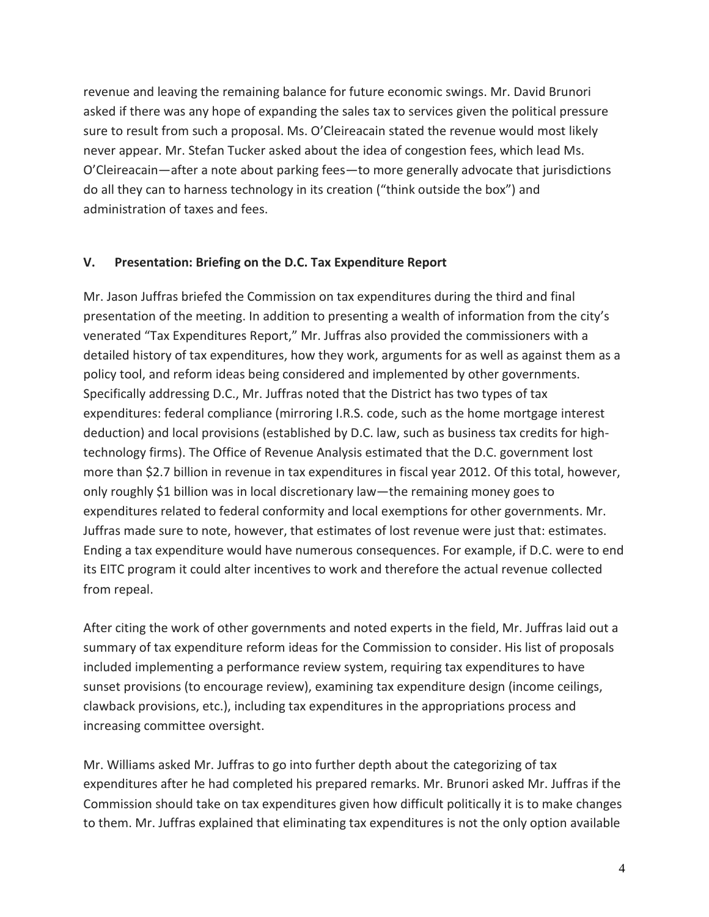revenue and leaving the remaining balance for future economic swings. Mr. David Brunori asked if there was any hope of expanding the sales tax to services given the political pressure sure to result from such a proposal. Ms. O'Cleireacain stated the revenue would most likely never appear. Mr. Stefan Tucker asked about the idea of congestion fees, which lead Ms. O'Cleireacain—after a note about parking fees—to more generally advocate that jurisdictions do all they can to harness technology in its creation ("think outside the box") and administration of taxes and fees.

## **V. Presentation: Briefing on the D.C. Tax Expenditure Report**

Mr. Jason Juffras briefed the Commission on tax expenditures during the third and final presentation of the meeting. In addition to presenting a wealth of information from the city's venerated "Tax Expenditures Report," Mr. Juffras also provided the commissioners with a detailed history of tax expenditures, how they work, arguments for as well as against them as a policy tool, and reform ideas being considered and implemented by other governments. Specifically addressing D.C., Mr. Juffras noted that the District has two types of tax expenditures: federal compliance (mirroring I.R.S. code, such as the home mortgage interest deduction) and local provisions (established by D.C. law, such as business tax credits for hightechnology firms). The Office of Revenue Analysis estimated that the D.C. government lost more than \$2.7 billion in revenue in tax expenditures in fiscal year 2012. Of this total, however, only roughly \$1 billion was in local discretionary law—the remaining money goes to expenditures related to federal conformity and local exemptions for other governments. Mr. Juffras made sure to note, however, that estimates of lost revenue were just that: estimates. Ending a tax expenditure would have numerous consequences. For example, if D.C. were to end its EITC program it could alter incentives to work and therefore the actual revenue collected from repeal.

After citing the work of other governments and noted experts in the field, Mr. Juffras laid out a summary of tax expenditure reform ideas for the Commission to consider. His list of proposals included implementing a performance review system, requiring tax expenditures to have sunset provisions (to encourage review), examining tax expenditure design (income ceilings, clawback provisions, etc.), including tax expenditures in the appropriations process and increasing committee oversight.

Mr. Williams asked Mr. Juffras to go into further depth about the categorizing of tax expenditures after he had completed his prepared remarks. Mr. Brunori asked Mr. Juffras if the Commission should take on tax expenditures given how difficult politically it is to make changes to them. Mr. Juffras explained that eliminating tax expenditures is not the only option available